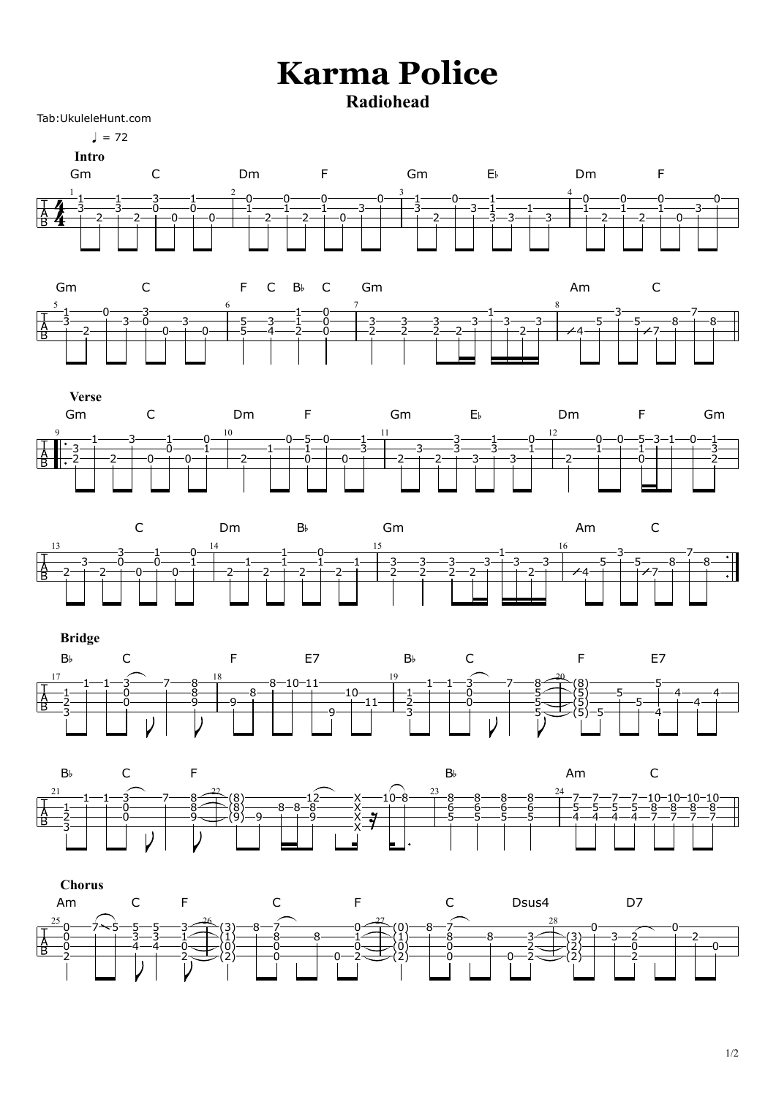## **Karma Police Radiohead**

Tab:UkuleleHunt.com

 $\frac{1}{2} = 72$ 



**Intro**









## **Bridge**







## $\sqrt{ }$  $\blacksquare$  $\blacktriangledown$